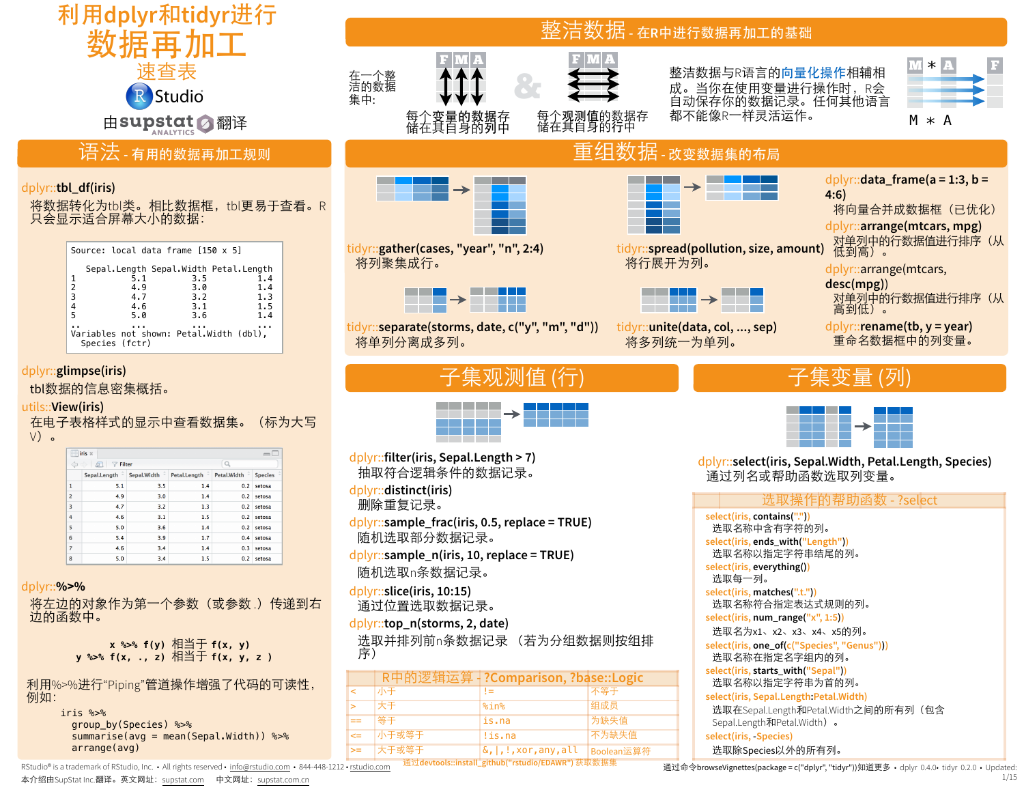

RStudio® is a trademark of RStudio, Inc. • All rights reserved • [info@rstudio.com](mailto:info@rstudio.com) • 844-448-1212 • [rstudio.com](http://rstudio.com)

本介绍由SupStat Inc.翻译。英文网址: [supstat.com](http://supstat.com) 中文网址: [supstat.com.cn](http://supstat.com.cn)

1/15

通过命令browseVignettes(package = c("dplyr", "tidyr"))知道更多 • dplyr 0.4.0• tidyr 0.2.0 • Updated: